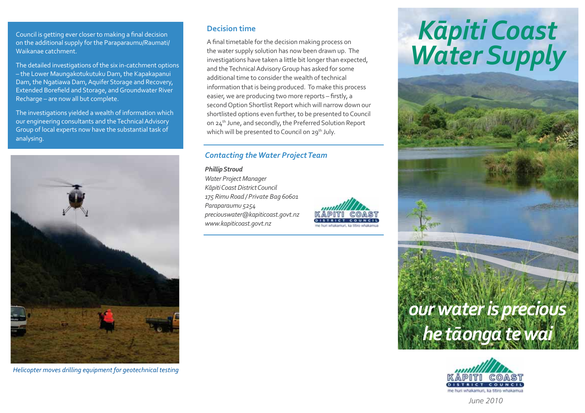Council is getting ever closer to making a final decision on the additional supply for the Paraparaumu/Raumati/ Waikanae catchment.

The detailed investigations of the six in-catchment options - the Lower Maungakotukutuku Dam, the Kapakapanui Dam, the Ngatiawa Dam, Aquifer Storage and Recovery, Extended Borefield and Storage, and Groundwater River Recharge - are now all but complete.

The investigations vielded a wealth of information which our engineering consultants and the Technical Advisory Group of local experts now have the substantial task of analysing.



Helicopter moves drilling equipment for geotechnical testing

## **Decision time**

A final timetable for the decision making process on the water supply solution has now been drawn up. The investigations have taken a little bit longer than expected, and the Technical Advisory Group has asked for some additional time to consider the wealth of technical information that is being produced. To make this process easier, we are producing two more reports - firstly, a second Option Shortlist Report which will narrow down our shortlisted options even further, to be presented to Council on 24<sup>th</sup> June, and secondly, the Preferred Solution Report which will be presented to Council on 29<sup>th</sup> July.

# **Contacting the Water Project Team**

### **Phillip Stroud**

Water Project Manager Kāpiti Coast District Council 175 Rimu Road / Private Bag 60601 Paraparaumu 5254 preciouswater@kapiticoast.govt.nz www.kapiticoast.govt.nz



# Kāpiti Coast<br>Water Supply





 $l$ une 2010